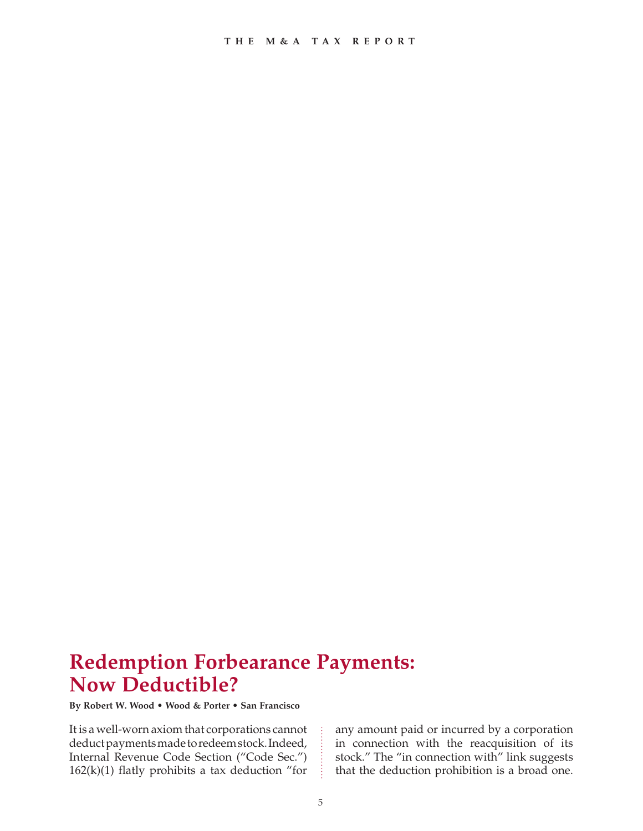# **Redemption Forbearance Payments: Now Deductible?**

**By Robert W. Wood • Wood & Porter • San Francisco**

It is a well-worn axiom that corporations cannot deduct payments made to redeem stock. Indeed, Internal Revenue Code Section ("Code Sec.")  $162(k)(1)$  flatly prohibits a tax deduction "for any amount paid or incurred by a corporation in connection with the reacquisition of its stock." The "in connection with" link suggests that the deduction prohibition is a broad one.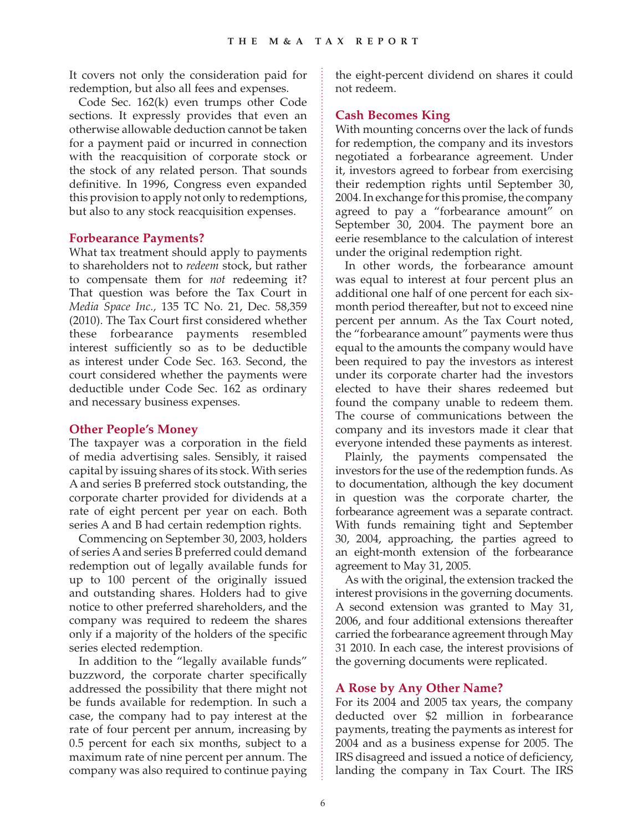It covers not only the consideration paid for redemption, but also all fees and expenses.

Code Sec. 162(k) even trumps other Code sections. It expressly provides that even an otherwise allowable deduction cannot be taken for a payment paid or incurred in connection with the reacquisition of corporate stock or the stock of any related person. That sounds definitive. In 1996, Congress even expanded this provision to apply not only to redemptions, but also to any stock reacquisition expenses.

### **Forbearance Payments?**

What tax treatment should apply to payments to shareholders not to *redeem* stock, but rather to compensate them for *not* redeeming it? That question was before the Tax Court in *Media Space Inc.,* 135 TC No. 21, Dec. 58,359 (2010). The Tax Court first considered whether these forbearance payments resembled interest sufficiently so as to be deductible as interest under Code Sec. 163. Second, the court considered whether the payments were deductible under Code Sec. 162 as ordinary and necessary business expenses.

#### **Other People's Money**

The taxpayer was a corporation in the field of media advertising sales. Sensibly, it raised capital by issuing shares of its stock. With series A and series B preferred stock outstanding, the corporate charter provided for dividends at a rate of eight percent per year on each. Both series A and B had certain redemption rights.

Commencing on September 30, 2003, holders of series A and series B preferred could demand redemption out of legally available funds for up to 100 percent of the originally issued and outstanding shares. Holders had to give notice to other preferred shareholders, and the company was required to redeem the shares only if a majority of the holders of the specific series elected redemption.

In addition to the "legally available funds" buzzword, the corporate charter specifically addressed the possibility that there might not be funds available for redemption. In such a case, the company had to pay interest at the rate of four percent per annum, increasing by 0.5 percent for each six months, subject to a maximum rate of nine percent per annum. The company was also required to continue paying the eight-percent dividend on shares it could not redeem.

## **Cash Becomes King**

With mounting concerns over the lack of funds for redemption, the company and its investors negotiated a forbearance agreement. Under it, investors agreed to forbear from exercising their redemption rights until September 30, 2004. In exchange for this promise, the company agreed to pay a "forbearance amount" on September 30, 2004. The payment bore an eerie resemblance to the calculation of interest under the original redemption right.

In other words, the forbearance amount was equal to interest at four percent plus an additional one half of one percent for each sixmonth period thereafter, but not to exceed nine percent per annum. As the Tax Court noted, the "forbearance amount" payments were thus equal to the amounts the company would have been required to pay the investors as interest under its corporate charter had the investors elected to have their shares redeemed but found the company unable to redeem them. The course of communications between the company and its investors made it clear that everyone intended these payments as interest.

Plainly, the payments compensated the investors for the use of the redemption funds. As to documentation, although the key document in question was the corporate charter, the forbearance agreement was a separate contract. With funds remaining tight and September 30, 2004, approaching, the parties agreed to an eight-month extension of the forbearance agreement to May 31, 2005.

As with the original, the extension tracked the interest provisions in the governing documents. A second extension was granted to May 31, 2006, and four additional extensions thereafter carried the forbearance agreement through May 31 2010. In each case, the interest provisions of the governing documents were replicated.

### **A Rose by Any Other Name?**

For its 2004 and 2005 tax years, the company deducted over \$2 million in forbearance payments, treating the payments as interest for 2004 and as a business expense for 2005. The IRS disagreed and issued a notice of deficiency, landing the company in Tax Court. The IRS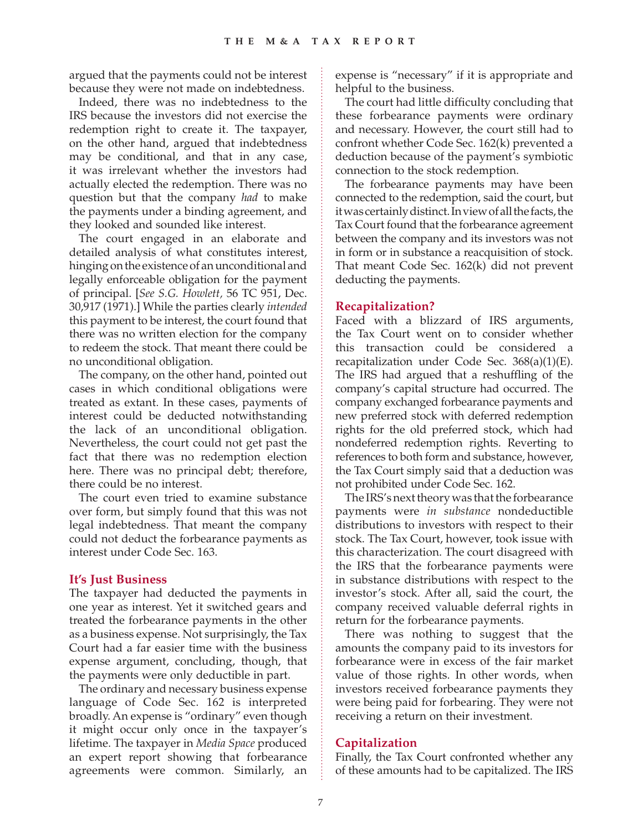argued that the payments could not be interest because they were not made on indebtedness.

Indeed, there was no indebtedness to the IRS because the investors did not exercise the redemption right to create it. The taxpayer, on the other hand, argued that indebtedness may be conditional, and that in any case, it was irrelevant whether the investors had actually elected the redemption. There was no question but that the company *had* to make the payments under a binding agreement, and they looked and sounded like interest.

The court engaged in an elaborate and detailed analysis of what constitutes interest, hinging on the existence of an unconditional and legally enforceable obligation for the payment of principal. [*See S.G. Howlett,* 56 TC 951, Dec. 30,917 (1971).] While the parties clearly *intended* this payment to be interest, the court found that there was no written election for the company to redeem the stock. That meant there could be no unconditional obligation.

The company, on the other hand, pointed out cases in which conditional obligations were treated as extant. In these cases, payments of interest could be deducted notwithstanding the lack of an unconditional obligation. Nevertheless, the court could not get past the fact that there was no redemption election here. There was no principal debt; therefore, there could be no interest.

The court even tried to examine substance over form, but simply found that this was not legal indebtedness. That meant the company could not deduct the forbearance payments as interest under Code Sec. 163.

### **It's Just Business**

The taxpayer had deducted the payments in one year as interest. Yet it switched gears and treated the forbearance payments in the other as a business expense. Not surprisingly, the Tax Court had a far easier time with the business expense argument, concluding, though, that the payments were only deductible in part.

The ordinary and necessary business expense language of Code Sec. 162 is interpreted broadly. An expense is "ordinary" even though it might occur only once in the taxpayer's lifetime. The taxpayer in *Media Space* produced an expert report showing that forbearance agreements were common. Similarly, an expense is "necessary" if it is appropriate and helpful to the business.

The court had little difficulty concluding that these forbearance payments were ordinary and necessary. However, the court still had to confront whether Code Sec. 162(k) prevented a deduction because of the payment's symbiotic connection to the stock redemption.

The forbearance payments may have been connected to the redemption, said the court, but it was certainly distinct. In view of all the facts, the Tax Court found that the forbearance agreement between the company and its investors was not in form or in substance a reacquisition of stock. That meant Code Sec. 162(k) did not prevent deducting the payments.

## **Recapitalization?**

Faced with a blizzard of IRS arguments, the Tax Court went on to consider whether this transaction could be considered a recapitalization under Code Sec.  $368(a)(1)(E)$ . The IRS had argued that a reshuffling of the company's capital structure had occurred. The company exchanged forbearance payments and new preferred stock with deferred redemption rights for the old preferred stock, which had nondeferred redemption rights. Reverting to references to both form and substance, however, the Tax Court simply said that a deduction was not prohibited under Code Sec. 162.

The IRS's next theory was that the forbearance payments were *in substance* nondeductible distributions to investors with respect to their stock. The Tax Court, however, took issue with this characterization. The court disagreed with the IRS that the forbearance payments were in substance distributions with respect to the investor's stock. After all, said the court, the company received valuable deferral rights in return for the forbearance payments.

There was nothing to suggest that the amounts the company paid to its investors for forbearance were in excess of the fair market value of those rights. In other words, when investors received forbearance payments they were being paid for forbearing. They were not receiving a return on their investment.

## **Capitalization**

Finally, the Tax Court confronted whether any of these amounts had to be capitalized. The IRS